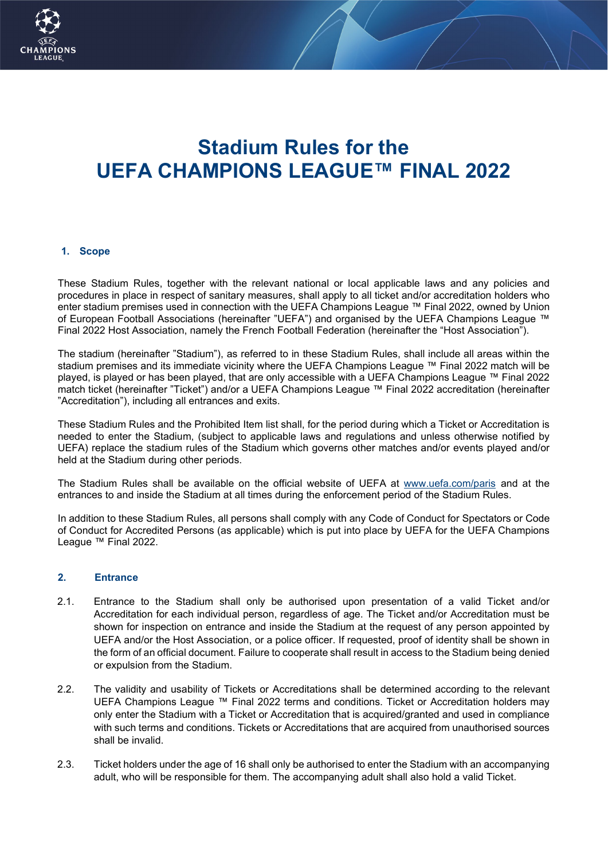

# **Stadium Rules for the UEFA CHAMPIONS LEAGUE™ FINAL 2022**

#### **1. Scope**

These Stadium Rules, together with the relevant national or local applicable laws and any policies and procedures in place in respect of sanitary measures, shall apply to all ticket and/or accreditation holders who enter stadium premises used in connection with the UEFA Champions League ™ Final 2022, owned by Union of European Football Associations (hereinafter "UEFA") and organised by the UEFA Champions League ™ Final 2022 Host Association, namely the French Football Federation (hereinafter the "Host Association").

The stadium (hereinafter "Stadium"), as referred to in these Stadium Rules, shall include all areas within the stadium premises and its immediate vicinity where the UEFA Champions League ™ Final 2022 match will be played, is played or has been played, that are only accessible with a UEFA Champions League ™ Final 2022 match ticket (hereinafter "Ticket") and/or a UEFA Champions League ™ Final 2022 accreditation (hereinafter "Accreditation"), including all entrances and exits.

These Stadium Rules and the Prohibited Item list shall, for the period during which a Ticket or Accreditation is needed to enter the Stadium, (subject to applicable laws and regulations and unless otherwise notified by UEFA) replace the stadium rules of the Stadium which governs other matches and/or events played and/or held at the Stadium during other periods.

The Stadium Rules shall be available on the official website of UEFA at [www.uefa.com/paris](http://www.uefa.com/paris) and at the entrances to and inside the Stadium at all times during the enforcement period of the Stadium Rules.

In addition to these Stadium Rules, all persons shall comply with any Code of Conduct for Spectators or Code of Conduct for Accredited Persons (as applicable) which is put into place by UEFA for the UEFA Champions League ™ Final 2022.

#### **2. Entrance**

- 2.1. Entrance to the Stadium shall only be authorised upon presentation of a valid Ticket and/or Accreditation for each individual person, regardless of age. The Ticket and/or Accreditation must be shown for inspection on entrance and inside the Stadium at the request of any person appointed by UEFA and/or the Host Association, or a police officer. If requested, proof of identity shall be shown in the form of an official document. Failure to cooperate shall result in access to the Stadium being denied or expulsion from the Stadium.
- 2.2. The validity and usability of Tickets or Accreditations shall be determined according to the relevant UEFA Champions League ™ Final 2022 terms and conditions. Ticket or Accreditation holders may only enter the Stadium with a Ticket or Accreditation that is acquired/granted and used in compliance with such terms and conditions. Tickets or Accreditations that are acquired from unauthorised sources shall be invalid.
- 2.3. Ticket holders under the age of 16 shall only be authorised to enter the Stadium with an accompanying adult, who will be responsible for them. The accompanying adult shall also hold a valid Ticket.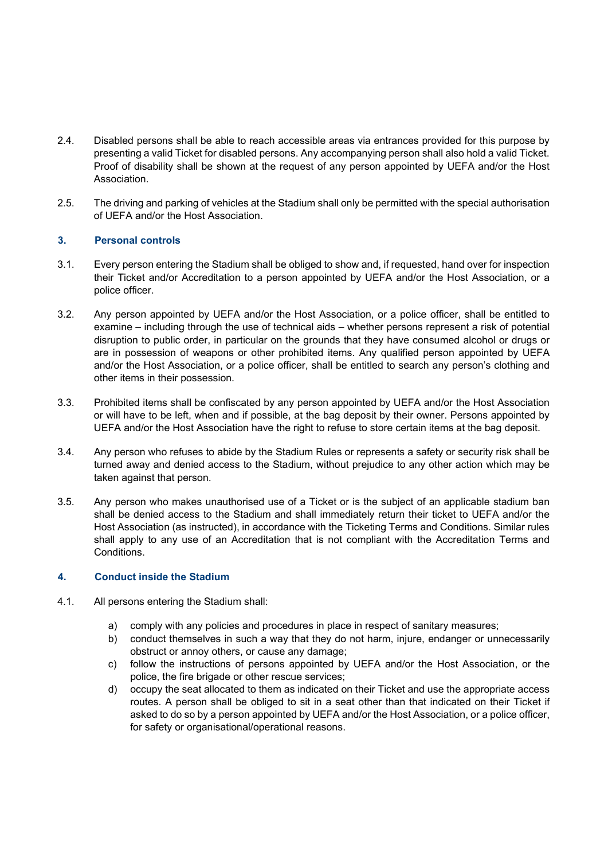- 2.4. Disabled persons shall be able to reach accessible areas via entrances provided for this purpose by presenting a valid Ticket for disabled persons. Any accompanying person shall also hold a valid Ticket. Proof of disability shall be shown at the request of any person appointed by UEFA and/or the Host Association.
- 2.5. The driving and parking of vehicles at the Stadium shall only be permitted with the special authorisation of UEFA and/or the Host Association.

#### **3. Personal controls**

- 3.1. Every person entering the Stadium shall be obliged to show and, if requested, hand over for inspection their Ticket and/or Accreditation to a person appointed by UEFA and/or the Host Association, or a police officer.
- 3.2. Any person appointed by UEFA and/or the Host Association, or a police officer, shall be entitled to examine – including through the use of technical aids – whether persons represent a risk of potential disruption to public order, in particular on the grounds that they have consumed alcohol or drugs or are in possession of weapons or other prohibited items. Any qualified person appointed by UEFA and/or the Host Association, or a police officer, shall be entitled to search any person's clothing and other items in their possession.
- 3.3. Prohibited items shall be confiscated by any person appointed by UEFA and/or the Host Association or will have to be left, when and if possible, at the bag deposit by their owner. Persons appointed by UEFA and/or the Host Association have the right to refuse to store certain items at the bag deposit.
- 3.4. Any person who refuses to abide by the Stadium Rules or represents a safety or security risk shall be turned away and denied access to the Stadium, without prejudice to any other action which may be taken against that person.
- 3.5. Any person who makes unauthorised use of a Ticket or is the subject of an applicable stadium ban shall be denied access to the Stadium and shall immediately return their ticket to UEFA and/or the Host Association (as instructed), in accordance with the Ticketing Terms and Conditions. Similar rules shall apply to any use of an Accreditation that is not compliant with the Accreditation Terms and Conditions.

#### **4. Conduct inside the Stadium**

- 4.1. All persons entering the Stadium shall:
	- a) comply with any policies and procedures in place in respect of sanitary measures;
	- b) conduct themselves in such a way that they do not harm, injure, endanger or unnecessarily obstruct or annoy others, or cause any damage;
	- c) follow the instructions of persons appointed by UEFA and/or the Host Association, or the police, the fire brigade or other rescue services;
	- d) occupy the seat allocated to them as indicated on their Ticket and use the appropriate access routes. A person shall be obliged to sit in a seat other than that indicated on their Ticket if asked to do so by a person appointed by UEFA and/or the Host Association, or a police officer, for safety or organisational/operational reasons.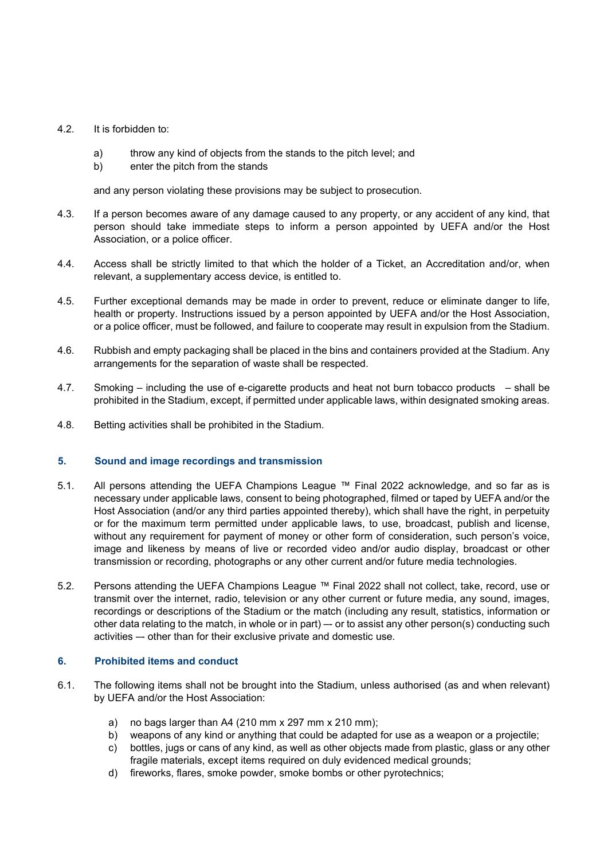#### 4.2. It is forbidden to:

- a) throw any kind of objects from the stands to the pitch level; and
- b) enter the pitch from the stands

and any person violating these provisions may be subject to prosecution.

- 4.3. If a person becomes aware of any damage caused to any property, or any accident of any kind, that person should take immediate steps to inform a person appointed by UEFA and/or the Host Association, or a police officer.
- 4.4. Access shall be strictly limited to that which the holder of a Ticket, an Accreditation and/or, when relevant, a supplementary access device, is entitled to.
- 4.5. Further exceptional demands may be made in order to prevent, reduce or eliminate danger to life, health or property. Instructions issued by a person appointed by UEFA and/or the Host Association, or a police officer, must be followed, and failure to cooperate may result in expulsion from the Stadium.
- 4.6. Rubbish and empty packaging shall be placed in the bins and containers provided at the Stadium. Any arrangements for the separation of waste shall be respected.
- 4.7. Smoking including the use of e-cigarette products and heat not burn tobacco products shall be prohibited in the Stadium, except, if permitted under applicable laws, within designated smoking areas.
- 4.8. Betting activities shall be prohibited in the Stadium.

#### **5. Sound and image recordings and transmission**

- 5.1. All persons attending the UEFA Champions League ™ Final 2022 acknowledge, and so far as is necessary under applicable laws, consent to being photographed, filmed or taped by UEFA and/or the Host Association (and/or any third parties appointed thereby), which shall have the right, in perpetuity or for the maximum term permitted under applicable laws, to use, broadcast, publish and license, without any requirement for payment of money or other form of consideration, such person's voice, image and likeness by means of live or recorded video and/or audio display, broadcast or other transmission or recording, photographs or any other current and/or future media technologies.
- 5.2. Persons attending the UEFA Champions League ™ Final 2022 shall not collect, take, record, use or transmit over the internet, radio, television or any other current or future media, any sound, images, recordings or descriptions of the Stadium or the match (including any result, statistics, information or other data relating to the match, in whole or in part) –- or to assist any other person(s) conducting such activities –- other than for their exclusive private and domestic use.

#### **6. Prohibited items and conduct**

- 6.1. The following items shall not be brought into the Stadium, unless authorised (as and when relevant) by UEFA and/or the Host Association:
	- a) no bags larger than A4 (210 mm x 297 mm x 210 mm);
	- b) weapons of any kind or anything that could be adapted for use as a weapon or a projectile;
	- c) bottles, jugs or cans of any kind, as well as other objects made from plastic, glass or any other fragile materials, except items required on duly evidenced medical grounds;
	- d) fireworks, flares, smoke powder, smoke bombs or other pyrotechnics;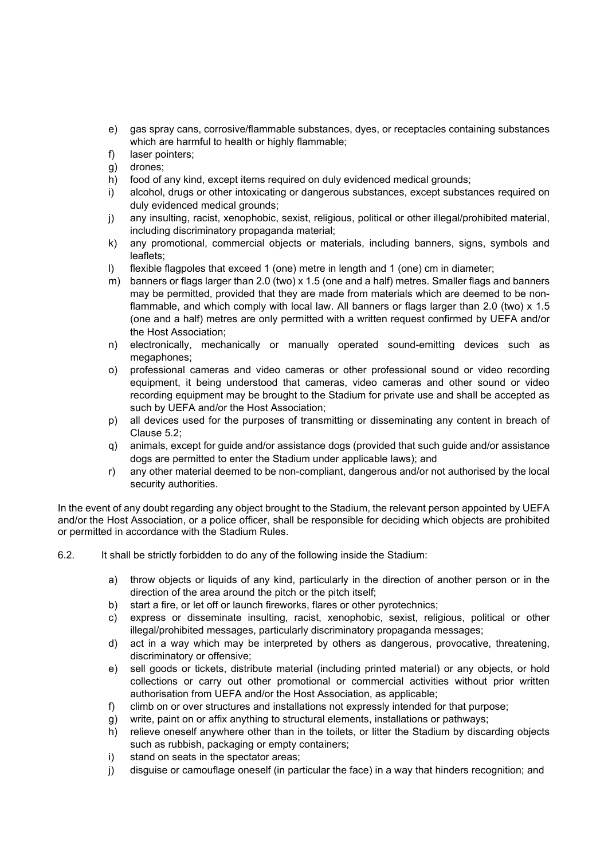- e) gas spray cans, corrosive/flammable substances, dyes, or receptacles containing substances which are harmful to health or highly flammable;
- f) laser pointers;
- g) drones;
- h) food of any kind, except items required on duly evidenced medical grounds;
- i) alcohol, drugs or other intoxicating or dangerous substances, except substances required on duly evidenced medical grounds;
- j) any insulting, racist, xenophobic, sexist, religious, political or other illegal/prohibited material, including discriminatory propaganda material;
- k) any promotional, commercial objects or materials, including banners, signs, symbols and leaflets;
- l) flexible flagpoles that exceed 1 (one) metre in length and 1 (one) cm in diameter;
- m) banners or flags larger than 2.0 (two) x 1.5 (one and a half) metres. Smaller flags and banners may be permitted, provided that they are made from materials which are deemed to be nonflammable, and which comply with local law. All banners or flags larger than 2.0 (two) x 1.5 (one and a half) metres are only permitted with a written request confirmed by UEFA and/or the Host Association;
- n) electronically, mechanically or manually operated sound-emitting devices such as megaphones;
- o) professional cameras and video cameras or other professional sound or video recording equipment, it being understood that cameras, video cameras and other sound or video recording equipment may be brought to the Stadium for private use and shall be accepted as such by UEFA and/or the Host Association;
- p) all devices used for the purposes of transmitting or disseminating any content in breach of Clause 5.2;
- q) animals, except for guide and/or assistance dogs (provided that such guide and/or assistance dogs are permitted to enter the Stadium under applicable laws); and
- r) any other material deemed to be non-compliant, dangerous and/or not authorised by the local security authorities.

In the event of any doubt regarding any object brought to the Stadium, the relevant person appointed by UEFA and/or the Host Association, or a police officer, shall be responsible for deciding which objects are prohibited or permitted in accordance with the Stadium Rules.

- 6.2. It shall be strictly forbidden to do any of the following inside the Stadium:
	- a) throw objects or liquids of any kind, particularly in the direction of another person or in the direction of the area around the pitch or the pitch itself;
	- b) start a fire, or let off or launch fireworks, flares or other pyrotechnics;
	- c) express or disseminate insulting, racist, xenophobic, sexist, religious, political or other illegal/prohibited messages, particularly discriminatory propaganda messages;
	- d) act in a way which may be interpreted by others as dangerous, provocative, threatening, discriminatory or offensive;
	- e) sell goods or tickets, distribute material (including printed material) or any objects, or hold collections or carry out other promotional or commercial activities without prior written authorisation from UEFA and/or the Host Association, as applicable;
	- f) climb on or over structures and installations not expressly intended for that purpose;
	- g) write, paint on or affix anything to structural elements, installations or pathways;
	- h) relieve oneself anywhere other than in the toilets, or litter the Stadium by discarding objects such as rubbish, packaging or empty containers;
	- i) stand on seats in the spectator areas;
	- j) disguise or camouflage oneself (in particular the face) in a way that hinders recognition; and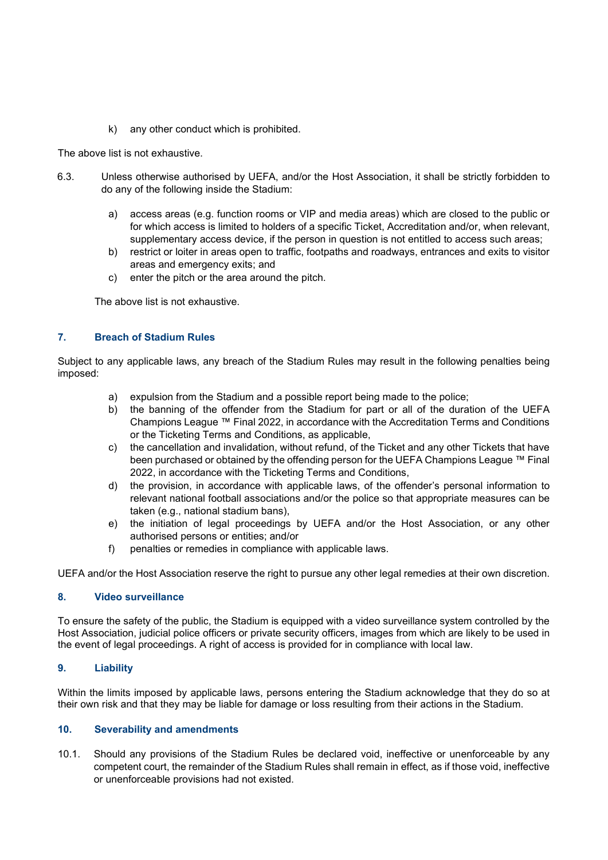k) any other conduct which is prohibited.

The above list is not exhaustive.

- 6.3. Unless otherwise authorised by UEFA, and/or the Host Association, it shall be strictly forbidden to do any of the following inside the Stadium:
	- a) access areas (e.g. function rooms or VIP and media areas) which are closed to the public or for which access is limited to holders of a specific Ticket, Accreditation and/or, when relevant, supplementary access device, if the person in question is not entitled to access such areas;
	- b) restrict or loiter in areas open to traffic, footpaths and roadways, entrances and exits to visitor areas and emergency exits; and
	- c) enter the pitch or the area around the pitch.

The above list is not exhaustive.

#### **7. Breach of Stadium Rules**

Subject to any applicable laws, any breach of the Stadium Rules may result in the following penalties being imposed:

- a) expulsion from the Stadium and a possible report being made to the police;
- b) the banning of the offender from the Stadium for part or all of the duration of the UEFA Champions League ™ Final 2022, in accordance with the Accreditation Terms and Conditions or the Ticketing Terms and Conditions, as applicable,
- c) the cancellation and invalidation, without refund, of the Ticket and any other Tickets that have been purchased or obtained by the offending person for the UEFA Champions League ™ Final 2022, in accordance with the Ticketing Terms and Conditions,
- d) the provision, in accordance with applicable laws, of the offender's personal information to relevant national football associations and/or the police so that appropriate measures can be taken (e.g., national stadium bans),
- e) the initiation of legal proceedings by UEFA and/or the Host Association, or any other authorised persons or entities; and/or
- f) penalties or remedies in compliance with applicable laws.

UEFA and/or the Host Association reserve the right to pursue any other legal remedies at their own discretion.

#### **8. Video surveillance**

To ensure the safety of the public, the Stadium is equipped with a video surveillance system controlled by the Host Association, judicial police officers or private security officers, images from which are likely to be used in the event of legal proceedings. A right of access is provided for in compliance with local law.

#### **9. Liability**

Within the limits imposed by applicable laws, persons entering the Stadium acknowledge that they do so at their own risk and that they may be liable for damage or loss resulting from their actions in the Stadium.

#### **10. Severability and amendments**

10.1. Should any provisions of the Stadium Rules be declared void, ineffective or unenforceable by any competent court, the remainder of the Stadium Rules shall remain in effect, as if those void, ineffective or unenforceable provisions had not existed.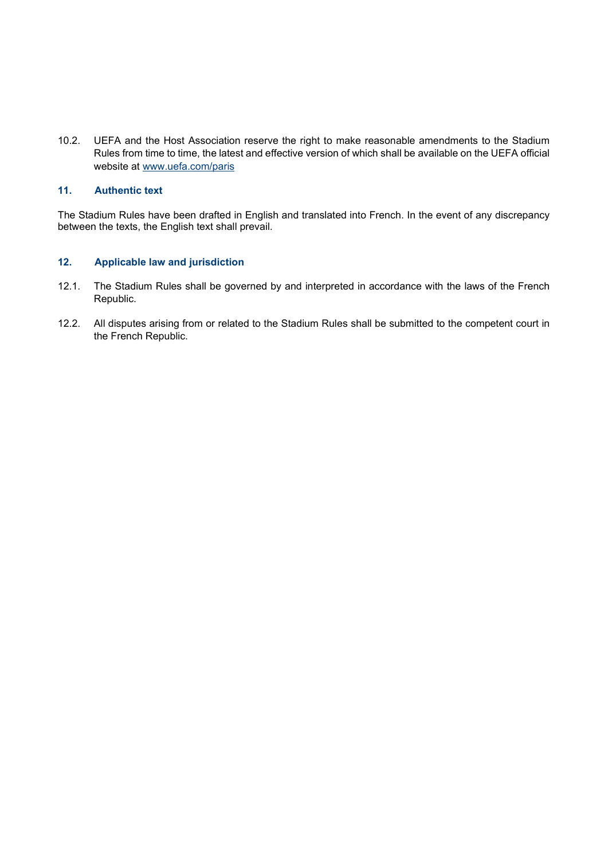10.2. UEFA and the Host Association reserve the right to make reasonable amendments to the Stadium Rules from time to time, the latest and effective version of which shall be available on the UEFA official website at [www.uefa.com/paris](http://www.uefa.com/paris)

### **11. Authentic text**

The Stadium Rules have been drafted in English and translated into French. In the event of any discrepancy between the texts, the English text shall prevail.

#### **12. Applicable law and jurisdiction**

- 12.1. The Stadium Rules shall be governed by and interpreted in accordance with the laws of the French Republic.
- 12.2. All disputes arising from or related to the Stadium Rules shall be submitted to the competent court in the French Republic.